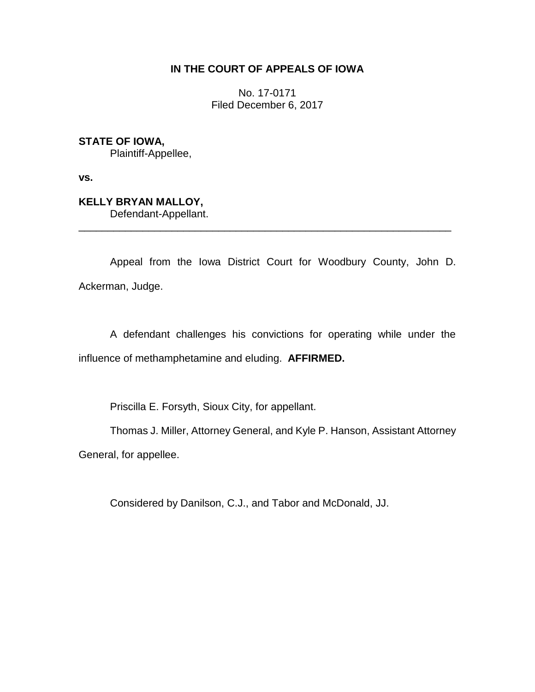# **IN THE COURT OF APPEALS OF IOWA**

No. 17-0171 Filed December 6, 2017

**STATE OF IOWA,**

Plaintiff-Appellee,

**vs.**

**KELLY BRYAN MALLOY,** Defendant-Appellant.

Appeal from the Iowa District Court for Woodbury County, John D. Ackerman, Judge.

\_\_\_\_\_\_\_\_\_\_\_\_\_\_\_\_\_\_\_\_\_\_\_\_\_\_\_\_\_\_\_\_\_\_\_\_\_\_\_\_\_\_\_\_\_\_\_\_\_\_\_\_\_\_\_\_\_\_\_\_\_\_\_\_

A defendant challenges his convictions for operating while under the influence of methamphetamine and eluding. **AFFIRMED.**

Priscilla E. Forsyth, Sioux City, for appellant.

Thomas J. Miller, Attorney General, and Kyle P. Hanson, Assistant Attorney General, for appellee.

Considered by Danilson, C.J., and Tabor and McDonald, JJ.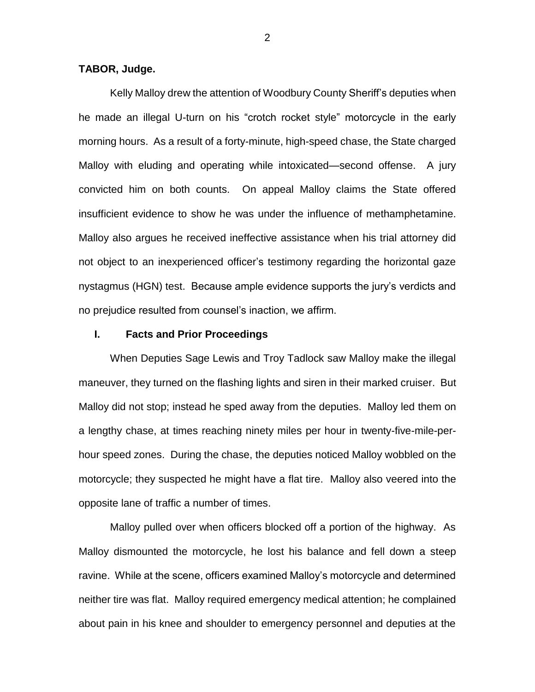#### **TABOR, Judge.**

Kelly Malloy drew the attention of Woodbury County Sheriff's deputies when he made an illegal U-turn on his "crotch rocket style" motorcycle in the early morning hours. As a result of a forty-minute, high-speed chase, the State charged Malloy with eluding and operating while intoxicated—second offense. A jury convicted him on both counts. On appeal Malloy claims the State offered insufficient evidence to show he was under the influence of methamphetamine. Malloy also argues he received ineffective assistance when his trial attorney did not object to an inexperienced officer's testimony regarding the horizontal gaze nystagmus (HGN) test. Because ample evidence supports the jury's verdicts and no prejudice resulted from counsel's inaction, we affirm.

# **I. Facts and Prior Proceedings**

When Deputies Sage Lewis and Troy Tadlock saw Malloy make the illegal maneuver, they turned on the flashing lights and siren in their marked cruiser. But Malloy did not stop; instead he sped away from the deputies. Malloy led them on a lengthy chase, at times reaching ninety miles per hour in twenty-five-mile-perhour speed zones. During the chase, the deputies noticed Malloy wobbled on the motorcycle; they suspected he might have a flat tire. Malloy also veered into the opposite lane of traffic a number of times.

Malloy pulled over when officers blocked off a portion of the highway. As Malloy dismounted the motorcycle, he lost his balance and fell down a steep ravine. While at the scene, officers examined Malloy's motorcycle and determined neither tire was flat. Malloy required emergency medical attention; he complained about pain in his knee and shoulder to emergency personnel and deputies at the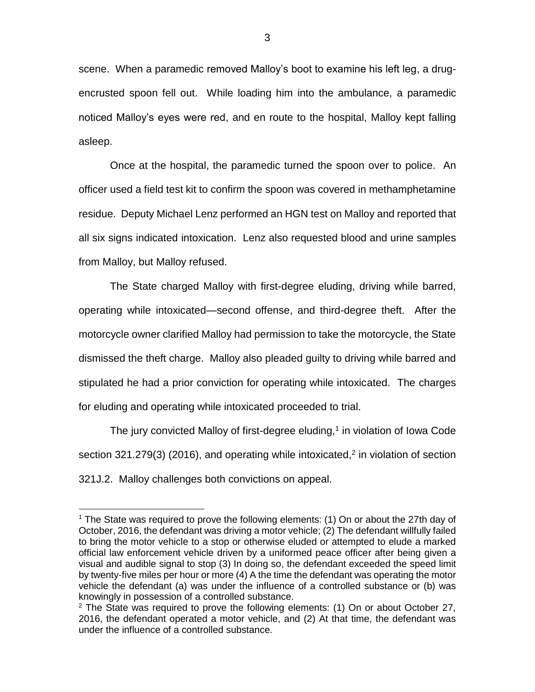scene. When a paramedic removed Malloy's boot to examine his left leg, a drugencrusted spoon fell out. While loading him into the ambulance, a paramedic noticed Malloy's eyes were red, and en route to the hospital, Malloy kept falling asleep.

Once at the hospital, the paramedic turned the spoon over to police. An officer used a field test kit to confirm the spoon was covered in methamphetamine residue. Deputy Michael Lenz performed an HGN test on Malloy and reported that all six signs indicated intoxication. Lenz also requested blood and urine samples from Malloy, but Malloy refused.

The State charged Malloy with first-degree eluding, driving while barred, operating while intoxicated—second offense, and third-degree theft. After the motorcycle owner clarified Malloy had permission to take the motorcycle, the State dismissed the theft charge. Malloy also pleaded guilty to driving while barred and stipulated he had a prior conviction for operating while intoxicated. The charges for eluding and operating while intoxicated proceeded to trial.

The jury convicted Malloy of first-degree eluding, $1$  in violation of lowa Code section 321.279(3) (2016), and operating while intoxicated,<sup>2</sup> in violation of section 321J.2. Malloy challenges both convictions on appeal.

 $\overline{a}$ 

<sup>1</sup> The State was required to prove the following elements: (1) On or about the 27th day of October, 2016, the defendant was driving a motor vehicle; (2) The defendant willfully failed to bring the motor vehicle to a stop or otherwise eluded or attempted to elude a marked official law enforcement vehicle driven by a uniformed peace officer after being given a visual and audible signal to stop (3) In doing so, the defendant exceeded the speed limit by twenty-five miles per hour or more (4) A the time the defendant was operating the motor vehicle the defendant (a) was under the influence of a controlled substance or (b) was knowingly in possession of a controlled substance.

 $2$  The State was required to prove the following elements: (1) On or about October 27, 2016, the defendant operated a motor vehicle, and (2) At that time, the defendant was under the influence of a controlled substance.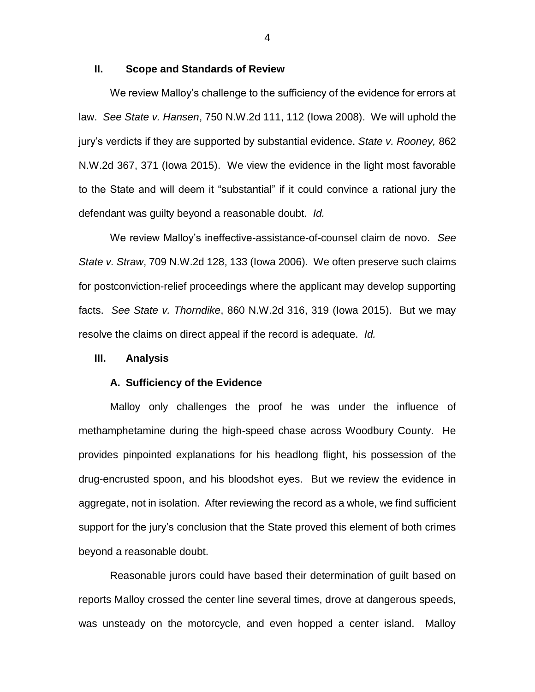### **II. Scope and Standards of Review**

We review Malloy's challenge to the sufficiency of the evidence for errors at law. *See State v. Hansen*, 750 N.W.2d 111, 112 (Iowa 2008). We will uphold the jury's verdicts if they are supported by substantial evidence. *State v. Rooney,* 862 N.W.2d 367, 371 (Iowa 2015). We view the evidence in the light most favorable to the State and will deem it "substantial" if it could convince a rational jury the defendant was guilty beyond a reasonable doubt. *Id.*

We review Malloy's ineffective-assistance-of-counsel claim de novo. *See State v. Straw*, 709 N.W.2d 128, 133 (Iowa 2006). We often preserve such claims for postconviction-relief proceedings where the applicant may develop supporting facts. *See State v. Thorndike*, 860 N.W.2d 316, 319 (Iowa 2015). But we may resolve the claims on direct appeal if the record is adequate. *Id.* 

# **III. Analysis**

#### **A. Sufficiency of the Evidence**

Malloy only challenges the proof he was under the influence of methamphetamine during the high-speed chase across Woodbury County. He provides pinpointed explanations for his headlong flight, his possession of the drug-encrusted spoon, and his bloodshot eyes. But we review the evidence in aggregate, not in isolation. After reviewing the record as a whole, we find sufficient support for the jury's conclusion that the State proved this element of both crimes beyond a reasonable doubt.

Reasonable jurors could have based their determination of guilt based on reports Malloy crossed the center line several times, drove at dangerous speeds, was unsteady on the motorcycle, and even hopped a center island. Malloy

4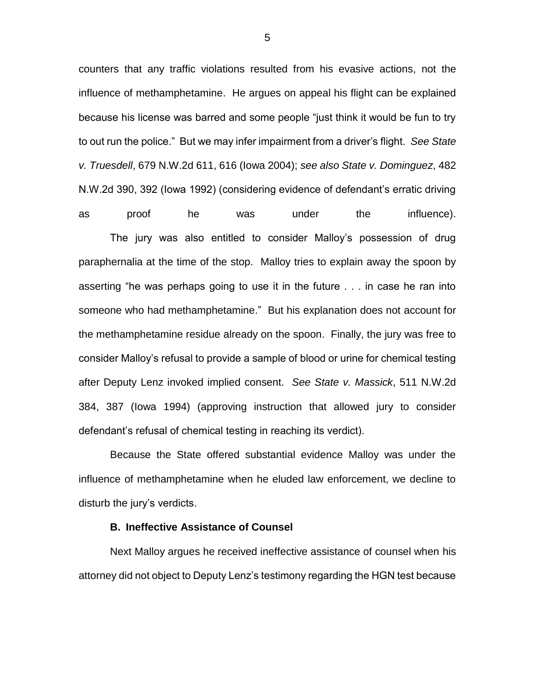counters that any traffic violations resulted from his evasive actions, not the influence of methamphetamine. He argues on appeal his flight can be explained because his license was barred and some people "just think it would be fun to try to out run the police." But we may infer impairment from a driver's flight. *See State v. Truesdell*, 679 N.W.2d 611, 616 (Iowa 2004); *see also State v. Dominguez*, 482 N.W.2d 390, 392 (Iowa 1992) (considering evidence of defendant's erratic driving as proof he was under the influence).

The jury was also entitled to consider Malloy's possession of drug paraphernalia at the time of the stop. Malloy tries to explain away the spoon by asserting "he was perhaps going to use it in the future . . . in case he ran into someone who had methamphetamine." But his explanation does not account for the methamphetamine residue already on the spoon. Finally, the jury was free to consider Malloy's refusal to provide a sample of blood or urine for chemical testing after Deputy Lenz invoked implied consent. *See State v. Massick*, 511 N.W.2d 384, 387 (Iowa 1994) (approving instruction that allowed jury to consider defendant's refusal of chemical testing in reaching its verdict).

Because the State offered substantial evidence Malloy was under the influence of methamphetamine when he eluded law enforcement, we decline to disturb the jury's verdicts.

#### **B. Ineffective Assistance of Counsel**

Next Malloy argues he received ineffective assistance of counsel when his attorney did not object to Deputy Lenz's testimony regarding the HGN test because

5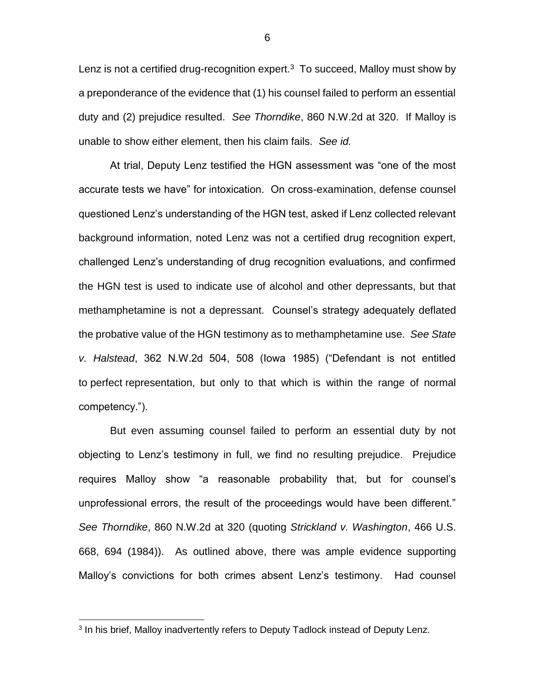Lenz is not a certified drug-recognition expert. $3$  To succeed, Malloy must show by a preponderance of the evidence that (1) his counsel failed to perform an essential duty and (2) prejudice resulted. *See Thorndike*, 860 N.W.2d at 320. If Malloy is unable to show either element, then his claim fails. *See id.*

At trial, Deputy Lenz testified the HGN assessment was "one of the most accurate tests we have" for intoxication. On cross-examination, defense counsel questioned Lenz's understanding of the HGN test, asked if Lenz collected relevant background information, noted Lenz was not a certified drug recognition expert, challenged Lenz's understanding of drug recognition evaluations, and confirmed the HGN test is used to indicate use of alcohol and other depressants, but that methamphetamine is not a depressant. Counsel's strategy adequately deflated the probative value of the HGN testimony as to methamphetamine use. *See State v. Halstead*, 362 N.W.2d 504, 508 (Iowa 1985) ("Defendant is not entitled to perfect representation, but only to that which is within the range of normal competency.").

But even assuming counsel failed to perform an essential duty by not objecting to Lenz's testimony in full, we find no resulting prejudice. Prejudice requires Malloy show "a reasonable probability that, but for counsel's unprofessional errors, the result of the proceedings would have been different." *See Thorndike*, 860 N.W.2d at 320 (quoting *Strickland v. Washington*, 466 U.S. 668, 694 (1984)). As outlined above, there was ample evidence supporting Malloy's convictions for both crimes absent Lenz's testimony. Had counsel

 $\overline{a}$ 

6

<sup>&</sup>lt;sup>3</sup> In his brief, Malloy inadvertently refers to Deputy Tadlock instead of Deputy Lenz.